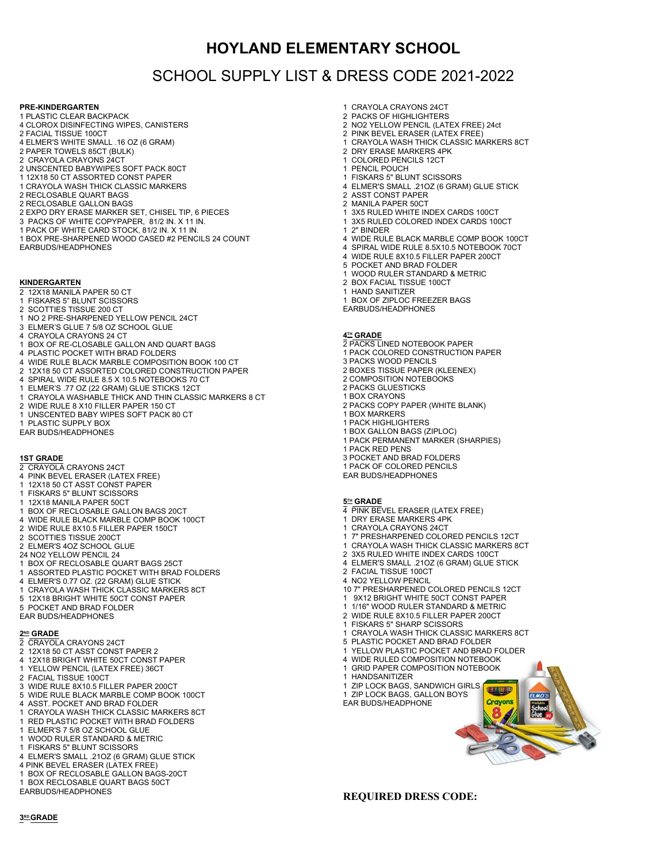## **HOYLAND ELEMENTARY SCHOOL**

# SCHOOL SUPPLY LIST & DRESS CODE 2021-2022

### **PRE-KINDERGARTEN**

- 1 PLASTIC CLEAR BACKPACK 4 CLOROX DISINFECTING WIPES, CANISTERS
- 2 FACIAL TISSUE 100CT
- 4 ELMER'S WHITE SMALL .16 OZ (6 GRAM)
- 2 PAPER TOWELS 85CT (BULK)
- 2 CRAYOLA CRAYONS 24CT
- 2 UNSCENTED BABYWIPES SOFT PACK 80CT
- 1 12X18 50 CT ASSORTED CONST PAPER
- 1 CRAYOLA WASH THICK CLASSIC MARKERS
- 2 RECLOSABLE QUART BAGS
- 2 RECLOSABLE GALLON BAGS
- 2 EXPO DRY ERASE MARKER SET, CHISEL TIP, 6 PIECES
- 3 PACKS OF WHITE COPYPAPER, 81/2 IN. X 11 IN.
- 1 PACK OF WHITE CARD STOCK, 81/2 IN. X 11 IN.
- 1 BOX PRE-SHARPENED WOOD CASED #2 PENCILS 24 COUNT EARBUDS/HEADPHONES

### **KINDERGARTEN**

- 2 12X18 MANILA PAPER 50 CT
- 1 FISKARS 5" BLUNT SCISSORS
- 2 SCOTTIES TISSUE 200 CT
- 1 NO 2 PRE-SHARPENED YELLOW PENCIL 24CT
- 3 ELMER'S GLUE 7 5/8 OZ SCHOOL GLUE
- 4 CRAYOLA CRAYONS 24 CT
- 1 BOX OF RE-CLOSABLE GALLON AND QUART BAGS
- 4 PLASTIC POCKET WITH BRAD FOLDERS
- 4 WIDE RULE BLACK MARBLE COMPOSITION BOOK 100 CT
- 2 12X18 50 CT ASSORTED COLORED CONSTRUCTION PAPER
- 4 SPIRAL WIDE RULE 8.5 X 10.5 NOTEBOOKS 70 CT 1 ELMER'S .77 OZ (22 GRAM) GLUE STICKS 12CT
- 
- 1 CRAYOLA WASHABLE THICK AND THIN CLASSIC MARKERS 8 CT 2 WIDE RULE 8 X10 FILLER PAPER 150 CT
- 
- 1 UNSCENTED BABY WIPES SOFT PACK 80 CT
- 1 PLASTIC SUPPLY BOX
- EAR BUDS/HEADPHONES

### **1ST GRADE**

- 2 CRAYOLA CRAYONS 24CT
- 4 PINK BEVEL ERASER (LATEX FREE)
- 12X18 50 CT ASST CONST PAPER
- 1 FISKARS 5" BLUNT SCISSORS
- 1 12X18 MANILA PAPER 50CT
- 1 BOX OF RECLOSABLE GALLON BAGS 20CT
- 4 WIDE RULE BLACK MARBLE COMP BOOK 100CT
- 2 WIDE RULE 8X10.5 FILLER PAPER 150CT
- 2 SCOTTIES TISSUE 200CT
- 2 ELMER'S 4OZ SCHOOL GLUE
- 24 NO2 YELLOW PENCIL 24
- 1 BOX OF RECLOSABLE QUART BAGS 25CT
- 1 ASSORTED PLASTIC POCKET WITH BRAD FOLDERS
- 4 ELMER'S 0.77 OZ. (22 GRAM) GLUE STICK
- 1 CRAYOLA WASH THICK CLASSIC MARKERS 8CT
- 5 12X18 BRIGHT WHITE 50CT CONST PAPER
- 5 POCKET AND BRAD FOLDER
- EAR BUDS/HEADPHONES

#### $2^{\text{MD}}$  GRADE

- 2 CRAYOLA CRAYONS 24CT
- 2 12X18 50 CT ASST CONST PAPER 2
- 4 12X18 BRIGHT WHITE 50CT CONST PAPER
- YELLOW PENCIL (LATEX FREE) 36CT
- 2 FACIAL TISSUE 100CT 3 WIDE RULE 8X10.5 FILLER PAPER 200CT
- 
- 5 WIDE RULE BLACK MARBLE COMP BOOK 100CT 4 ASST. POCKET AND BRAD FOLDER
- 
- CRAYOLA WASH THICK CLASSIC MARKERS 8CT 1 RED PLASTIC POCKET WITH BRAD FOLDERS
- 
- ELMER'S 7 5/8 OZ SCHOOL GLUE
- WOOD RULER STANDARD & METRIC
- 1 FISKARS 5" BLUNT SCISSORS
- 4 ELMER'S SMALL .21OZ (6 GRAM) GLUE STICK
- 4 PINK BEVEL ERASER (LATEX FREE)

**3 RD GRADE**

- 1 BOX OF RECLOSABLE GALLON BAGS-20CT
- 1 BOX RECLOSABLE QUART BAGS 50CT
- EARBUDS/HEADPHONES
- 1 CRAYOLA CRAYONS 24CT
- 2 PACKS OF HIGHLIGHTERS
- 2 NO2 YELLOW PENCIL (LATEX FREE) 24ct
- 2 PINK BEVEL ERASER (LATEX FREE)
- 1 CRAYOLA WASH THICK CLASSIC MARKERS 8CT
- 2 DRY ERASE MARKERS 4PK 1 COLORED PENCILS 12CT
- 1 PENCIL POUCH
- 1 FISKARS 5" BLUNT SCISSORS
- 4 ELMER'S SMALL .21OZ (6 GRAM) GLUE STICK
- 2 ASST CONST PAPER
- 2 MANILA PAPER 50CT
- 3X5 RULED WHITE INDEX CARDS 100CT
- 1 3X5 RULED COLORED INDEX CARDS 100CT
- 2" BINDER
- 4 WIDE RULE BLACK MARBLE COMP BOOK 100CT
- 4 SPIRAL WIDE RULE 8.5X10.5 NOTEBOOK 70CT
- 4 WIDE RULE 8X10.5 FILLER PAPER 200CT<br>5 POCKET AND BRAD FOLDER
- 5 POCKET AND BRAD FOLDER
- 1 WOOD RULER STANDARD & METRIC
- 2 BOX FACIAL TISSUE 100CT
- 1 HAND SANITIZER
- 1 BOX OF ZIPLOC FREEZER BAGS
- EARBUDS/HEADPHONES

#### $4$ **H** GRADE

1 BOX MARKERS 1 PACK HIGHLIGHTERS 1 BOX GALLON BAGS (ZIPLOC)

1 PACK RED PENS

2 FACIAL TISSUE 100CT 4 NO2 YELLOW PENCIL

1 HANDSANITIZER

EAR BUDS/HEADPHONE

- 2 PACKS LINED NOTEBOOK PAPER
- 1 PACK COLORED CONSTRUCTION PAPER

2 PACKS COPY PAPER (WHITE BLANK)

1 PACK PERMANENT MARKER (SHARPIES)

3 PACKS WOOD PENCILS 2 BOXES TISSUE PAPER (KLEENEX)

2 COMPOSITION NOTEBOOKS 2 PACKS GLUESTICKS 1 BOX CRAYONS

3 POCKET AND BRAD FOLDERS 1 PACK OF COLORED PENCILS EAR BUDS/HEADPHONES

 $5<sup>th</sup>$ **GRADE** 4 PINK BEVEL ERASER (LATEX FREE) 1 DRY ERASE MARKERS 4PK 1 CRAYOLA CRAYONS 24CT

1 7" PRESHARPENED COLORED PENCILS 12CT CRAYOLA WASH THICK CLASSIC MARKERS 8CT 2 3X5 RULED WHITE INDEX CARDS 100CT 4 ELMER'S SMALL .21OZ (6 GRAM) GLUE STICK

10 7" PRESHARPENED COLORED PENCILS 12CT 1 9X12 BRIGHT WHITE 50CT CONST PAPER 1 1/16" WOOD RULER STANDARD & METRIC 2 WIDE RULE 8X10.5 FILLER PAPER 200CT 1 FISKARS 5" SHARP SCISSORS 1 CRAYOLA WASH THICK CLASSIC MARKERS 8CT 5 PLASTIC POCKET AND BRAD FOLDER 1 YELLOW PLASTIC POCKET AND BRAD FOLDER 4 WIDE RULED COMPOSITION NOTEBOOK 1 GRID PAPER COMPOSITION NOTEBOOK

1 ZIP LOCK BAGS, SANDWICH GIRLS 1 ZIP LOCK BAGS, GALLON BOYS<br>FAR RUDS/HEADPHONE

Schoo<br>Glue

**REQUIRED DRESS CODE:**